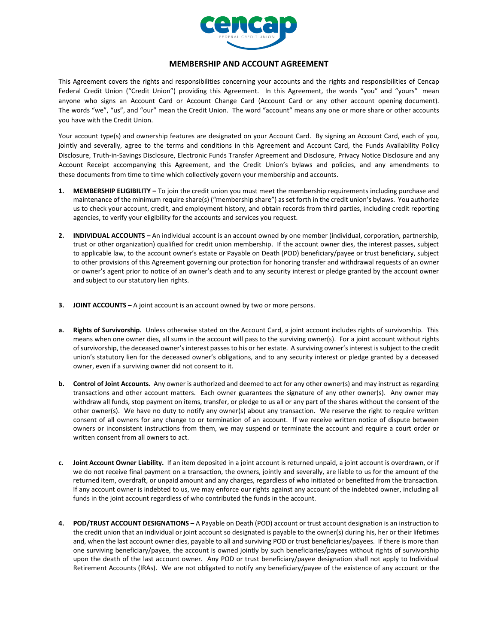

# **MEMBERSHIP AND ACCOUNT AGREEMENT**

This Agreement covers the rights and responsibilities concerning your accounts and the rights and responsibilities of Cencap Federal Credit Union ("Credit Union") providing this Agreement. In this Agreement, the words "you" and "yours" mean anyone who signs an Account Card or Account Change Card (Account Card or any other account opening document). The words "we", "us", and "our" mean the Credit Union. The word "account" means any one or more share or other accounts you have with the Credit Union.

Your account type(s) and ownership features are designated on your Account Card. By signing an Account Card, each of you, jointly and severally, agree to the terms and conditions in this Agreement and Account Card, the Funds Availability Policy Disclosure, Truth-in-Savings Disclosure, Electronic Funds Transfer Agreement and Disclosure, Privacy Notice Disclosure and any Account Receipt accompanying this Agreement, and the Credit Union's bylaws and policies, and any amendments to these documents from time to time which collectively govern your membership and accounts.

- **1. MEMBERSHIP ELIGIBILITY –** To join the credit union you must meet the membership requirements including purchase and maintenance of the minimum require share(s) ("membership share") as set forth in the credit union's bylaws. You authorize us to check your account, credit, and employment history, and obtain records from third parties, including credit reporting agencies, to verify your eligibility for the accounts and services you request.
- **2. INDIVIDUAL ACCOUNTS –** An individual account is an account owned by one member (individual, corporation, partnership, trust or other organization) qualified for credit union membership. If the account owner dies, the interest passes, subject to applicable law, to the account owner's estate or Payable on Death (POD) beneficiary/payee or trust beneficiary, subject to other provisions of this Agreement governing our protection for honoring transfer and withdrawal requests of an owner or owner's agent prior to notice of an owner's death and to any security interest or pledge granted by the account owner and subject to our statutory lien rights.
- **3. JOINT ACCOUNTS –** A joint account is an account owned by two or more persons.
- **a. Rights of Survivorship.** Unless otherwise stated on the Account Card, a joint account includes rights of survivorship. This means when one owner dies, all sums in the account will pass to the surviving owner(s). For a joint account without rights of survivorship, the deceased owner's interest passes to his or her estate. A surviving owner's interest is subject to the credit union's statutory lien for the deceased owner's obligations, and to any security interest or pledge granted by a deceased owner, even if a surviving owner did not consent to it.
- **b. Control of Joint Accounts.** Any owner is authorized and deemed to act for any other owner(s) and may instruct as regarding transactions and other account matters. Each owner guarantees the signature of any other owner(s). Any owner may withdraw all funds, stop payment on items, transfer, or pledge to us all or any part of the shares without the consent of the other owner(s). We have no duty to notify any owner(s) about any transaction. We reserve the right to require written consent of all owners for any change to or termination of an account. If we receive written notice of dispute between owners or inconsistent instructions from them, we may suspend or terminate the account and require a court order or written consent from all owners to act.
- **c. Joint Account Owner Liability.** If an item deposited in a joint account is returned unpaid, a joint account is overdrawn, or if we do not receive final payment on a transaction, the owners, jointly and severally, are liable to us for the amount of the returned item, overdraft, or unpaid amount and any charges, regardless of who initiated or benefited from the transaction. If any account owner is indebted to us, we may enforce our rights against any account of the indebted owner, including all funds in the joint account regardless of who contributed the funds in the account.
- **4. POD/TRUST ACCOUNT DESIGNATIONS –** A Payable on Death (POD) account or trust account designation is an instruction to the credit union that an individual or joint account so designated is payable to the owner(s) during his, her or their lifetimes and, when the last account owner dies, payable to all and surviving POD or trust beneficiaries/payees. If there is more than one surviving beneficiary/payee, the account is owned jointly by such beneficiaries/payees without rights of survivorship upon the death of the last account owner. Any POD or trust beneficiary/payee designation shall not apply to Individual Retirement Accounts (IRAs). We are not obligated to notify any beneficiary/payee of the existence of any account or the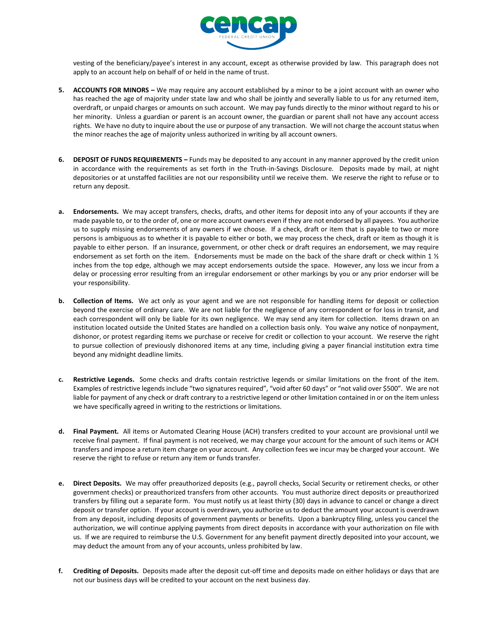

vesting of the beneficiary/payee's interest in any account, except as otherwise provided by law. This paragraph does not apply to an account help on behalf of or held in the name of trust.

- **5.** ACCOUNTS FOR MINORS We may require any account established by a minor to be a joint account with an owner who has reached the age of majority under state law and who shall be jointly and severally liable to us for any returned item, overdraft, or unpaid charges or amounts on such account. We may pay funds directly to the minor without regard to his or her minority. Unless a guardian or parent is an account owner, the guardian or parent shall not have any account access rights. We have no duty to inquire about the use or purpose of any transaction. We will not charge the account status when the minor reaches the age of majority unless authorized in writing by all account owners.
- **6. DEPOSIT OF FUNDS REQUIREMENTS –** Funds may be deposited to any account in any manner approved by the credit union in accordance with the requirements as set forth in the Truth-in-Savings Disclosure. Deposits made by mail, at night depositories or at unstaffed facilities are not our responsibility until we receive them. We reserve the right to refuse or to return any deposit.
- **a. Endorsements.** We may accept transfers, checks, drafts, and other items for deposit into any of your accounts if they are made payable to, or to the order of, one or more account owners even if they are not endorsed by all payees. You authorize us to supply missing endorsements of any owners if we choose. If a check, draft or item that is payable to two or more persons is ambiguous as to whether it is payable to either or both, we may process the check, draft or item as though it is payable to either person. If an insurance, government, or other check or draft requires an endorsement, we may require endorsement as set forth on the item. Endorsements must be made on the back of the share draft or check within 1  $\frac{1}{2}$ inches from the top edge, although we may accept endorsements outside the space. However, any loss we incur from a delay or processing error resulting from an irregular endorsement or other markings by you or any prior endorser will be your responsibility.
- **b. Collection of Items.** We act only as your agent and we are not responsible for handling items for deposit or collection beyond the exercise of ordinary care. We are not liable for the negligence of any correspondent or for loss in transit, and each correspondent will only be liable for its own negligence. We may send any item for collection. Items drawn on an institution located outside the United States are handled on a collection basis only. You waive any notice of nonpayment, dishonor, or protest regarding items we purchase or receive for credit or collection to your account. We reserve the right to pursue collection of previously dishonored items at any time, including giving a payer financial institution extra time beyond any midnight deadline limits.
- **c. Restrictive Legends.** Some checks and drafts contain restrictive legends or similar limitations on the front of the item. Examples of restrictive legends include "two signatures required", "void after 60 days" or "not valid over \$500". We are not liable for payment of any check or draft contrary to a restrictive legend or other limitation contained in or on the item unless we have specifically agreed in writing to the restrictions or limitations.
- **d. Final Payment.** All items or Automated Clearing House (ACH) transfers credited to your account are provisional until we receive final payment. If final payment is not received, we may charge your account for the amount of such items or ACH transfers and impose a return item charge on your account. Any collection fees we incur may be charged your account. We reserve the right to refuse or return any item or funds transfer.
- **e. Direct Deposits.** We may offer preauthorized deposits (e.g., payroll checks, Social Security or retirement checks, or other government checks) or preauthorized transfers from other accounts. You must authorize direct deposits or preauthorized transfers by filling out a separate form. You must notify us at least thirty (30) days in advance to cancel or change a direct deposit or transfer option. If your account is overdrawn, you authorize us to deduct the amount your account is overdrawn from any deposit, including deposits of government payments or benefits. Upon a bankruptcy filing, unless you cancel the authorization, we will continue applying payments from direct deposits in accordance with your authorization on file with us. If we are required to reimburse the U.S. Government for any benefit payment directly deposited into your account, we may deduct the amount from any of your accounts, unless prohibited by law.
- **f. Crediting of Deposits.** Deposits made after the deposit cut-off time and deposits made on either holidays or days that are not our business days will be credited to your account on the next business day.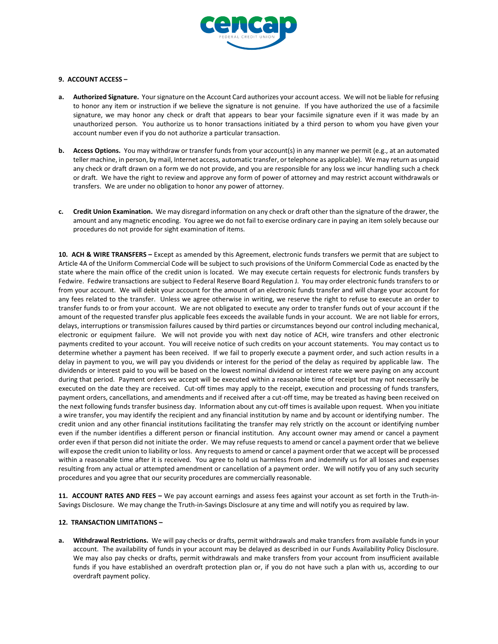

#### **9. ACCOUNT ACCESS –**

- **a. Authorized Signature.** Your signature on the Account Card authorizes your account access. We will not be liable for refusing to honor any item or instruction if we believe the signature is not genuine. If you have authorized the use of a facsimile signature, we may honor any check or draft that appears to bear your facsimile signature even if it was made by an unauthorized person. You authorize us to honor transactions initiated by a third person to whom you have given your account number even if you do not authorize a particular transaction.
- **b.** Access Options. You may withdraw or transfer funds from your account(s) in any manner we permit (e.g., at an automated teller machine, in person, by mail, Internet access, automatic transfer, or telephone as applicable). We may return as unpaid any check or draft drawn on a form we do not provide, and you are responsible for any loss we incur handling such a check or draft. We have the right to review and approve any form of power of attorney and may restrict account withdrawals or transfers. We are under no obligation to honor any power of attorney.
- **c. Credit Union Examination.** We may disregard information on any check or draft other than the signature of the drawer, the amount and any magnetic encoding. You agree we do not fail to exercise ordinary care in paying an item solely because our procedures do not provide for sight examination of items.

**10. ACH & WIRE TRANSFERS –** Except as amended by this Agreement, electronic funds transfers we permit that are subject to Article 4A of the Uniform Commercial Code will be subject to such provisions of the Uniform Commercial Code as enacted by the state where the main office of the credit union is located. We may execute certain requests for electronic funds transfers by Fedwire. Fedwire transactions are subject to Federal Reserve Board Regulation J. You may order electronic funds transfers to or from your account. We will debit your account for the amount of an electronic funds transfer and will charge your account for any fees related to the transfer. Unless we agree otherwise in writing, we reserve the right to refuse to execute an order to transfer funds to or from your account. We are not obligated to execute any order to transfer funds out of your account if the amount of the requested transfer plus applicable fees exceeds the available funds in your account. We are not liable for errors, delays, interruptions or transmission failures caused by third parties or circumstances beyond our control including mechanical, electronic or equipment failure. We will not provide you with next day notice of ACH, wire transfers and other electronic payments credited to your account. You will receive notice of such credits on your account statements. You may contact us to determine whether a payment has been received. If we fail to properly execute a payment order, and such action results in a delay in payment to you, we will pay you dividends or interest for the period of the delay as required by applicable law. The dividends or interest paid to you will be based on the lowest nominal dividend or interest rate we were paying on any account during that period. Payment orders we accept will be executed within a reasonable time of receipt but may not necessarily be executed on the date they are received. Cut-off times may apply to the receipt, execution and processing of funds transfers, payment orders, cancellations, and amendments and if received after a cut-off time, may be treated as having been received on the next following funds transfer business day. Information about any cut-off times is available upon request. When you initiate a wire transfer, you may identify the recipient and any financial institution by name and by account or identifying number. The credit union and any other financial institutions facilitating the transfer may rely strictly on the account or identifying number even if the number identifies a different person or financial institution. Any account owner may amend or cancel a payment order even if that person did not initiate the order. We may refuse requests to amend or cancel a payment order that we believe will expose the credit union to liability or loss. Any requests to amend or cancel a payment order that we accept will be processed within a reasonable time after it is received. You agree to hold us harmless from and indemnify us for all losses and expenses resulting from any actual or attempted amendment or cancellation of a payment order. We will notify you of any such security procedures and you agree that our security procedures are commercially reasonable.

**11. ACCOUNT RATES AND FEES –** We pay account earnings and assess fees against your account as set forth in the Truth-in-Savings Disclosure. We may change the Truth-in-Savings Disclosure at any time and will notify you as required by law.

## **12. TRANSACTION LIMITATIONS –**

**a. Withdrawal Restrictions.** We will pay checks or drafts, permit withdrawals and make transfers from available funds in your account. The availability of funds in your account may be delayed as described in our Funds Availability Policy Disclosure. We may also pay checks or drafts, permit withdrawals and make transfers from your account from insufficient available funds if you have established an overdraft protection plan or, if you do not have such a plan with us, according to our overdraft payment policy.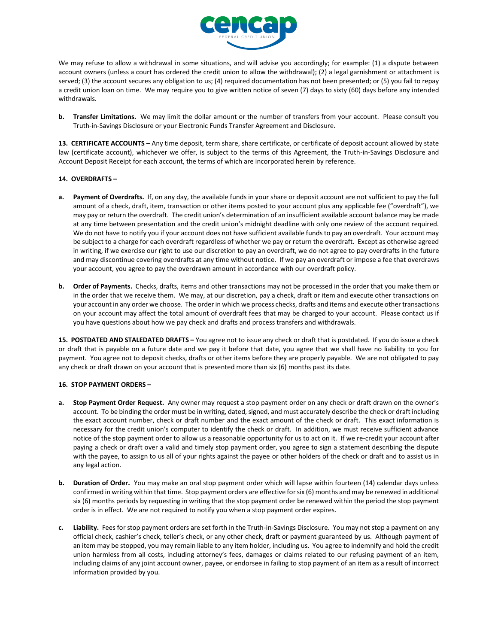

We may refuse to allow a withdrawal in some situations, and will advise you accordingly; for example: (1) a dispute between account owners (unless a court has ordered the credit union to allow the withdrawal); (2) a legal garnishment or attachment is served; (3) the account secures any obligation to us; (4) required documentation has not been presented; or (5) you fail to repay a credit union loan on time. We may require you to give written notice of seven (7) days to sixty (60) days before any intended withdrawals.

**b. Transfer Limitations.** We may limit the dollar amount or the number of transfers from your account. Please consult you Truth-in-Savings Disclosure or your Electronic Funds Transfer Agreement and Disclosure**.**

**13. CERTIFICATE ACCOUNTS –** Any time deposit, term share, share certificate, or certificate of deposit account allowed by state law (certificate account), whichever we offer, is subject to the terms of this Agreement, the Truth-in-Savings Disclosure and Account Deposit Receipt for each account, the terms of which are incorporated herein by reference.

### **14. OVERDRAFTS –**

- **a. Payment of Overdrafts.** If, on any day, the available funds in your share or deposit account are not sufficient to pay the full amount of a check, draft, item, transaction or other items posted to your account plus any applicable fee ("overdraft"), we may pay or return the overdraft. The credit union's determination of an insufficient available account balance may be made at any time between presentation and the credit union's midnight deadline with only one review of the account required. We do not have to notify you if your account does not have sufficient available funds to pay an overdraft. Your account may be subject to a charge for each overdraft regardless of whether we pay or return the overdraft. Except as otherwise agreed in writing, if we exercise our right to use our discretion to pay an overdraft, we do not agree to pay overdrafts in the future and may discontinue covering overdrafts at any time without notice. If we pay an overdraft or impose a fee that overdraws your account, you agree to pay the overdrawn amount in accordance with our overdraft policy.
- **b. Order of Payments.** Checks, drafts, items and other transactions may not be processed in the order that you make them or in the order that we receive them. We may, at our discretion, pay a check, draft or item and execute other transactions on your account in any order we choose. The order in which we process checks, drafts and items and execute other transactions on your account may affect the total amount of overdraft fees that may be charged to your account. Please contact us if you have questions about how we pay check and drafts and process transfers and withdrawals.

**15. POSTDATED AND STALEDATED DRAFTS –** You agree not to issue any check or draft that is postdated. If you do issue a check or draft that is payable on a future date and we pay it before that date, you agree that we shall have no liability to you for payment. You agree not to deposit checks, drafts or other items before they are properly payable. We are not obligated to pay any check or draft drawn on your account that is presented more than six (6) months past its date.

#### **16. STOP PAYMENT ORDERS –**

- **a. Stop Payment Order Request.** Any owner may request a stop payment order on any check or draft drawn on the owner's account. To be binding the order must be in writing, dated, signed, and must accurately describe the check or draft including the exact account number, check or draft number and the exact amount of the check or draft. This exact information is necessary for the credit union's computer to identify the check or draft. In addition, we must receive sufficient advance notice of the stop payment order to allow us a reasonable opportunity for us to act on it. If we re-credit your account after paying a check or draft over a valid and timely stop payment order, you agree to sign a statement describing the dispute with the payee, to assign to us all of your rights against the payee or other holders of the check or draft and to assist us in any legal action.
- **b. Duration of Order.** You may make an oral stop payment order which will lapse within fourteen (14) calendar days unless confirmed in writing within that time. Stop payment orders are effective for six (6) months and may be renewed in additional six (6) months periods by requesting in writing that the stop payment order be renewed within the period the stop payment order is in effect. We are not required to notify you when a stop payment order expires.
- **c. Liability.** Fees for stop payment orders are set forth in the Truth-in-Savings Disclosure. You may not stop a payment on any official check, cashier's check, teller's check, or any other check, draft or payment guaranteed by us. Although payment of an item may be stopped, you may remain liable to any item holder, including us. You agree to indemnify and hold the credit union harmless from all costs, including attorney's fees, damages or claims related to our refusing payment of an item, including claims of any joint account owner, payee, or endorsee in failing to stop payment of an item as a result of incorrect information provided by you.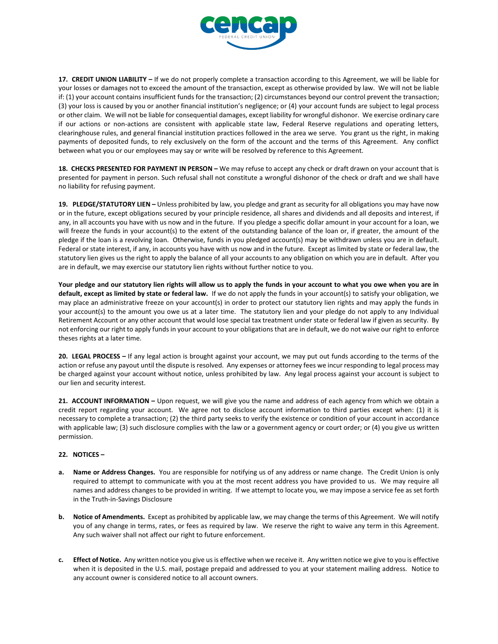

**17. CREDIT UNION LIABILITY –** If we do not properly complete a transaction according to this Agreement, we will be liable for your losses or damages not to exceed the amount of the transaction, except as otherwise provided by law. We will not be liable if: (1) your account contains insufficient funds for the transaction; (2) circumstances beyond our control prevent the transaction; (3) your loss is caused by you or another financial institution's negligence; or (4) your account funds are subject to legal process or other claim. We will not be liable for consequential damages, except liability for wrongful dishonor. We exercise ordinary care if our actions or non-actions are consistent with applicable state law, Federal Reserve regulations and operating letters, clearinghouse rules, and general financial institution practices followed in the area we serve. You grant us the right, in making payments of deposited funds, to rely exclusively on the form of the account and the terms of this Agreement. Any conflict between what you or our employees may say or write will be resolved by reference to this Agreement.

**18. CHECKS PRESENTED FOR PAYMENT IN PERSON –** We may refuse to accept any check or draft drawn on your account that is presented for payment in person. Such refusal shall not constitute a wrongful dishonor of the check or draft and we shall have no liability for refusing payment.

**19. PLEDGE/STATUTORY LIEN –** Unless prohibited by law, you pledge and grant as security for all obligations you may have now or in the future, except obligations secured by your principle residence, all shares and dividends and all deposits and interest, if any, in all accounts you have with us now and in the future. If you pledge a specific dollar amount in your account for a loan, we will freeze the funds in your account(s) to the extent of the outstanding balance of the loan or, if greater, the amount of the pledge if the loan is a revolving loan. Otherwise, funds in you pledged account(s) may be withdrawn unless you are in default. Federal or state interest, if any, in accounts you have with us now and in the future. Except as limited by state or federal law, the statutory lien gives us the right to apply the balance of all your accounts to any obligation on which you are in default. After you are in default, we may exercise our statutory lien rights without further notice to you.

**Your pledge and our statutory lien rights will allow us to apply the funds in your account to what you owe when you are in default, except as limited by state or federal law.** If we do not apply the funds in your account(s) to satisfy your obligation, we may place an administrative freeze on your account(s) in order to protect our statutory lien rights and may apply the funds in your account(s) to the amount you owe us at a later time. The statutory lien and your pledge do not apply to any Individual Retirement Account or any other account that would lose special tax treatment under state or federal law if given as security. By not enforcing our right to apply funds in your account to your obligations that are in default, we do not waive our right to enforce theses rights at a later time.

**20. LEGAL PROCESS –** If any legal action is brought against your account, we may put out funds according to the terms of the action or refuse any payout until the dispute is resolved. Any expenses or attorney fees we incur responding to legal process may be charged against your account without notice, unless prohibited by law. Any legal process against your account is subject to our lien and security interest.

**21. ACCOUNT INFORMATION –** Upon request, we will give you the name and address of each agency from which we obtain a credit report regarding your account. We agree not to disclose account information to third parties except when: (1) it is necessary to complete a transaction; (2) the third party seeks to verify the existence or condition of your account in accordance with applicable law; (3) such disclosure complies with the law or a government agency or court order; or (4) you give us written permission.

### **22. NOTICES –**

- **a. Name or Address Changes.** You are responsible for notifying us of any address or name change. The Credit Union is only required to attempt to communicate with you at the most recent address you have provided to us. We may require all names and address changes to be provided in writing. If we attempt to locate you, we may impose a service fee as set forth in the Truth-in-Savings Disclosure
- **b. Notice of Amendments.** Except as prohibited by applicable law, we may change the terms of this Agreement. We will notify you of any change in terms, rates, or fees as required by law. We reserve the right to waive any term in this Agreement. Any such waiver shall not affect our right to future enforcement.
- **c. Effect of Notice.** Any written notice you give us is effective when we receive it. Any written notice we give to you is effective when it is deposited in the U.S. mail, postage prepaid and addressed to you at your statement mailing address. Notice to any account owner is considered notice to all account owners.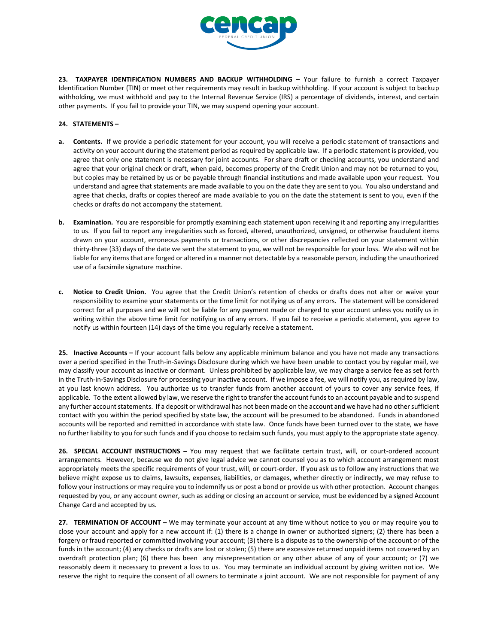

**23. TAXPAYER IDENTIFICATION NUMBERS AND BACKUP WITHHOLDING –** Your failure to furnish a correct Taxpayer Identification Number (TIN) or meet other requirements may result in backup withholding. If your account is subject to backup withholding, we must withhold and pay to the Internal Revenue Service (IRS) a percentage of dividends, interest, and certain other payments. If you fail to provide your TIN, we may suspend opening your account.

#### **24. STATEMENTS –**

- **a. Contents.** If we provide a periodic statement for your account, you will receive a periodic statement of transactions and activity on your account during the statement period as required by applicable law. If a periodic statement is provided, you agree that only one statement is necessary for joint accounts. For share draft or checking accounts, you understand and agree that your original check or draft, when paid, becomes property of the Credit Union and may not be returned to you, but copies may be retained by us or be payable through financial institutions and made available upon your request. You understand and agree that statements are made available to you on the date they are sent to you. You also understand and agree that checks, drafts or copies thereof are made available to you on the date the statement is sent to you, even if the checks or drafts do not accompany the statement.
- **b. Examination.** You are responsible for promptly examining each statement upon receiving it and reporting any irregularities to us. If you fail to report any irregularities such as forced, altered, unauthorized, unsigned, or otherwise fraudulent items drawn on your account, erroneous payments or transactions, or other discrepancies reflected on your statement within thirty-three (33) days of the date we sent the statement to you, we will not be responsible for your loss. We also will not be liable for any items that are forged or altered in a manner not detectable by a reasonable person, including the unauthorized use of a facsimile signature machine.
- **c. Notice to Credit Union.** You agree that the Credit Union's retention of checks or drafts does not alter or waive your responsibility to examine your statements or the time limit for notifying us of any errors. The statement will be considered correct for all purposes and we will not be liable for any payment made or charged to your account unless you notify us in writing within the above time limit for notifying us of any errors. If you fail to receive a periodic statement, you agree to notify us within fourteen (14) days of the time you regularly receive a statement.

**25. Inactive Accounts –** If your account falls below any applicable minimum balance and you have not made any transactions over a period specified in the Truth-in-Savings Disclosure during which we have been unable to contact you by regular mail, we may classify your account as inactive or dormant. Unless prohibited by applicable law, we may charge a service fee as set forth in the Truth-in-Savings Disclosure for processing your inactive account. If we impose a fee, we will notify you, as required by law, at you last known address. You authorize us to transfer funds from another account of yours to cover any service fees, if applicable. To the extent allowed by law, we reserve the right to transfer the account funds to an account payable and to suspend any further account statements. If a deposit or withdrawal has not been made on the account and we have had no other sufficient contact with you within the period specified by state law, the account will be presumed to be abandoned. Funds in abandoned accounts will be reported and remitted in accordance with state law. Once funds have been turned over to the state, we have no further liability to you for such funds and if you choose to reclaim such funds, you must apply to the appropriate state agency.

**26. SPECIAL ACCOUNT INSTRUCTIONS –** You may request that we facilitate certain trust, will, or court-ordered account arrangements. However, because we do not give legal advice we cannot counsel you as to which account arrangement most appropriately meets the specific requirements of your trust, will, or court-order. If you ask us to follow any instructions that we believe might expose us to claims, lawsuits, expenses, liabilities, or damages, whether directly or indirectly, we may refuse to follow your instructions or may require you to indemnify us or post a bond or provide us with other protection. Account changes requested by you, or any account owner, such as adding or closing an account or service, must be evidenced by a signed Account Change Card and accepted by us.

**27. TERMINATION OF ACCOUNT –** We may terminate your account at any time without notice to you or may require you to close your account and apply for a new account if: (1) there is a change in owner or authorized signers; (2) there has been a forgery or fraud reported or committed involving your account; (3) there is a dispute as to the ownership of the account or of the funds in the account; (4) any checks or drafts are lost or stolen; (5) there are excessive returned unpaid items not covered by an overdraft protection plan; (6) there has been any misrepresentation or any other abuse of any of your account; or (7) we reasonably deem it necessary to prevent a loss to us. You may terminate an individual account by giving written notice. We reserve the right to require the consent of all owners to terminate a joint account. We are not responsible for payment of any